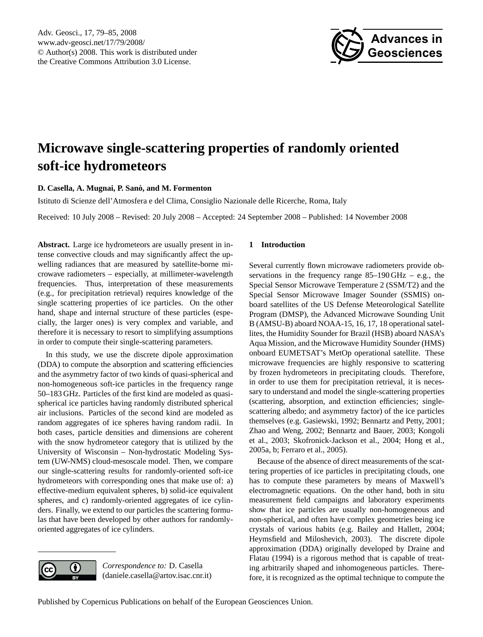<span id="page-0-0"></span>Adv. Geosci., 17, 79–85, 2008 www.adv-geosci.net/17/79/2008/ © Author(s) 2008. This work is distributed under the Creative Commons Attribution 3.0 License.



# **Microwave single-scattering properties of randomly oriented soft-ice hydrometeors**

## **D. Casella, A. Mugnai, P. Sano, and M. Formenton `**

Istituto di Scienze dell'Atmosfera e del Clima, Consiglio Nazionale delle Ricerche, Roma, Italy

Received: 10 July 2008 – Revised: 20 July 2008 – Accepted: 24 September 2008 – Published: 14 November 2008

**Abstract.** Large ice hydrometeors are usually present in intense convective clouds and may significantly affect the upwelling radiances that are measured by satellite-borne microwave radiometers – especially, at millimeter-wavelength frequencies. Thus, interpretation of these measurements (e.g., for precipitation retrieval) requires knowledge of the single scattering properties of ice particles. On the other hand, shape and internal structure of these particles (especially, the larger ones) is very complex and variable, and therefore it is necessary to resort to simplifying assumptions in order to compute their single-scattering parameters.

In this study, we use the discrete dipole approximation (DDA) to compute the absorption and scattering efficiencies and the asymmetry factor of two kinds of quasi-spherical and non-homogeneous soft-ice particles in the frequency range 50–183 GHz. Particles of the first kind are modeled as quasispherical ice particles having randomly distributed spherical air inclusions. Particles of the second kind are modeled as random aggregates of ice spheres having random radii. In both cases, particle densities and dimensions are coherent with the snow hydrometeor category that is utilized by the University of Wisconsin – Non-hydrostatic Modeling System (UW-NMS) cloud-mesoscale model. Then, we compare our single-scattering results for randomly-oriented soft-ice hydrometeors with corresponding ones that make use of: a) effective-medium equivalent spheres, b) solid-ice equivalent spheres, and c) randomly-oriented aggregates of ice cylinders. Finally, we extend to our particles the scattering formulas that have been developed by other authors for randomlyoriented aggregates of ice cylinders.

# **1 Introduction**

Several currently flown microwave radiometers provide observations in the frequency range  $85-190$  GHz – e.g., the Special Sensor Microwave Temperature 2 (SSM/T2) and the Special Sensor Microwave Imager Sounder (SSMIS) onboard satellites of the US Defense Meteorological Satellite Program (DMSP), the Advanced Microwave Sounding Unit B (AMSU-B) aboard NOAA-15, 16, 17, 18 operational satellites, the Humidity Sounder for Brazil (HSB) aboard NASA's Aqua Mission, and the Microwave Humidity Sounder (HMS) onboard EUMETSAT's MetOp operational satellite. These microwave frequencies are highly responsive to scattering by frozen hydrometeors in precipitating clouds. Therefore, in order to use them for precipitation retrieval, it is necessary to understand and model the single-scattering properties (scattering, absorption, and extinction efficiencies; singlescattering albedo; and asymmetry factor) of the ice particles themselves (e.g. Gasiewski, 1992; Bennartz and Petty, 2001; Zhao and Weng, 2002; Bennartz and Bauer, 2003; Kongoli et al., 2003; Skofronick-Jackson et al., 2004; Hong et al., 2005a, b; Ferraro et al., 2005).

Because of the absence of direct measurements of the scattering properties of ice particles in precipitating clouds, one has to compute these parameters by means of Maxwell's electromagnetic equations. On the other hand, both in situ measurement field campaigns and laboratory experiments show that ice particles are usually non-homogeneous and non-spherical, and often have complex geometries being ice crystals of various habits (e.g. Bailey and Hallett, 2004; Heymsfield and Miloshevich, 2003). The discrete dipole approximation (DDA) originally developed by Draine and Flatau (1994) is a rigorous method that is capable of treating arbitrarily shaped and inhomogeneous particles. Therefore, it is recognized as the optimal technique to compute the

*Correspondence to:* D. Casella (daniele.casella@artov.isac.cnr.it)

 $\left( \cdot \right)$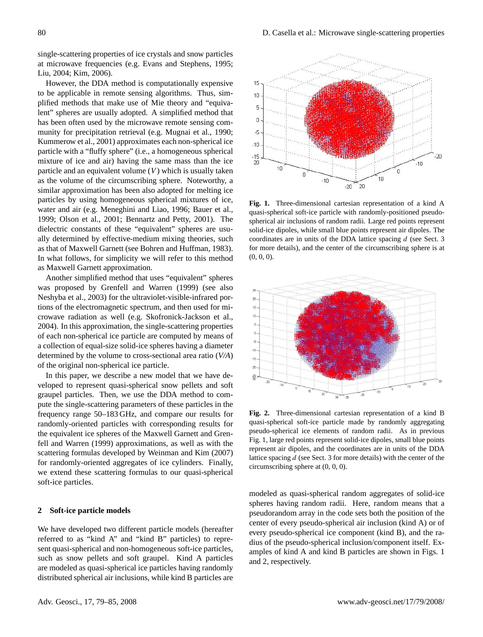single-scattering properties of ice crystals and snow particles at microwave frequencies (e.g. Evans and Stephens, 1995; Liu, 2004; Kim, 2006).

However, the DDA method is computationally expensive to be applicable in remote sensing algorithms. Thus, simplified methods that make use of Mie theory and "equivalent" spheres are usually adopted. A simplified method that has been often used by the microwave remote sensing community for precipitation retrieval (e.g. Mugnai et al., 1990; Kummerow et al., 2001) approximates each non-spherical ice particle with a "fluffy sphere" (i.e., a homogeneous spherical mixture of ice and air) having the same mass than the ice particle and an equivalent volume  $(V)$  which is usually taken as the volume of the circumscribing sphere. Noteworthy, a similar approximation has been also adopted for melting ice particles by using homogeneous spherical mixtures of ice, water and air (e.g. Meneghini and Liao, 1996; Bauer et al., 1999; Olson et al., 2001; Bennartz and Petty, 2001). The dielectric constants of these "equivalent" spheres are usually determined by effective-medium mixing theories, such as that of Maxwell Garnett (see Bohren and Huffman, 1983). In what follows, for simplicity we will refer to this method as Maxwell Garnett approximation.

Another simplified method that uses "equivalent" spheres was proposed by Grenfell and Warren (1999) (see also Neshyba et al., 2003) for the ultraviolet-visible-infrared portions of the electromagnetic spectrum, and then used for microwave radiation as well (e.g. Skofronick-Jackson et al., 2004). In this approximation, the single-scattering properties of each non-spherical ice particle are computed by means of a collection of equal-size solid-ice spheres having a diameter determined by the volume to cross-sectional area ratio (*V/A*) of the original non-spherical ice particle.

In this paper, we describe a new model that we have developed to represent quasi-spherical snow pellets and soft graupel particles. Then, we use the DDA method to compute the single-scattering parameters of these particles in the frequency range 50–183 GHz, and compare our results for randomly-oriented particles with corresponding results for the equivalent ice spheres of the Maxwell Garnett and Grenfell and Warren (1999) approximations, as well as with the scattering formulas developed by Weinman and Kim (2007) for randomly-oriented aggregates of ice cylinders. Finally, we extend these scattering formulas to our quasi-spherical soft-ice particles.

#### **2 Soft-ice particle models**

We have developed two different particle models (hereafter referred to as "kind A" and "kind B" particles) to represent quasi-spherical and non-homogeneous soft-ice particles, such as snow pellets and soft graupel. Kind A particles are modeled as quasi-spherical ice particles having randomly distributed spherical air inclusions, while kind B particles are



**Fig. 1.** Three-dimensional cartesian representation of a kind A quasi-spherical soft-ice particle with randomly-positioned pseudospherical air inclusions of random radii. Large red points represent solid-ice dipoles, while small blue points represent air dipoles. The coordinates are in units of the DDA lattice spacing  $d$  (see Sect. 3) for more details), and the center of the circumscribing sphere is at  $(0, 0, 0)$ .



**Fig. 2.** Three-dimensional cartesian representation of a kind B quasi-spherical soft-ice particle made by randomly aggregating pseudo-spherical ice elements of random radii. As in previous Fig. 1, large red points represent solid-ice dipoles, small blue points represent air dipoles, and the coordinates are in units of the DDA lattice spacing  $d$  (see Sect. 3 for more details) with the center of the circumscribing sphere at (0, 0, 0).

modeled as quasi-spherical random aggregates of solid-ice spheres having random radii. Here, random means that a pseudorandom array in the code sets both the position of the center of every pseudo-spherical air inclusion (kind A) or of every pseudo-spherical ice component (kind B), and the radius of the pseudo-spherical inclusion/component itself. Examples of kind A and kind B particles are shown in Figs. 1 and 2, respectively.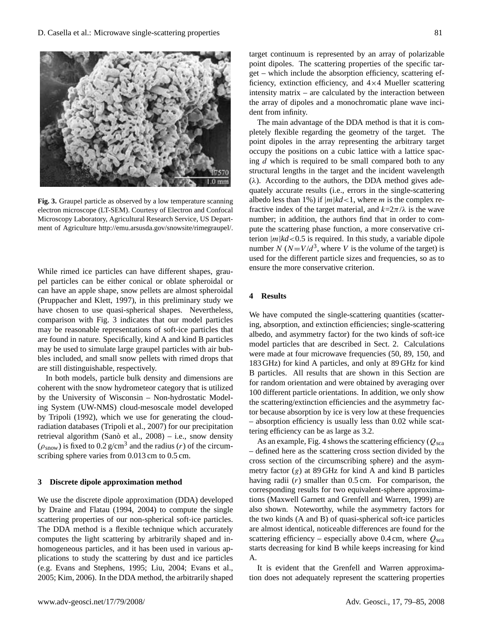

**Fig. 3.** Graupel particle as observed by a low temperature scanning electron microscope (LT-SEM). Courtesy of Electron and Confocal Microscopy Laboratory, Agricultural Research Service, US Department of Agriculture [http://emu.arsusda.gov/snowsite/rimegraupel/.](http://emu.arsusda.gov/snowsite/rimegraupel/)

While rimed ice particles can have different shapes, graupel particles can be either conical or oblate spheroidal or can have an apple shape, snow pellets are almost spheroidal (Pruppacher and Klett, 1997), in this preliminary study we have chosen to use quasi-spherical shapes. Nevertheless, comparison with Fig. 3 indicates that our model particles may be reasonable representations of soft-ice particles that are found in nature. Specifically, kind A and kind B particles may be used to simulate large graupel particles with air bubbles included, and small snow pellets with rimed drops that are still distinguishable, respectively.

In both models, particle bulk density and dimensions are coherent with the snow hydrometeor category that is utilized by the University of Wisconsin – Non-hydrostatic Modeling System (UW-NMS) cloud-mesoscale model developed by Tripoli (1992), which we use for generating the cloudradiation databases (Tripoli et al., 2007) for our precipitation retrieval algorithm (Sanò et al.,  $2008$ ) – i.e., snow density  $(\rho_{\text{snow}})$  is fixed to 0.2 g/cm<sup>3</sup> and the radius (*r*) of the circumscribing sphere varies from 0.013 cm to 0.5 cm.

#### **3 Discrete dipole approximation method**

We use the discrete dipole approximation (DDA) developed by Draine and Flatau (1994, 2004) to compute the single scattering properties of our non-spherical soft-ice particles. The DDA method is a flexible technique which accurately computes the light scattering by arbitrarily shaped and inhomogeneous particles, and it has been used in various applications to study the scattering by dust and ice particles (e.g. Evans and Stephens, 1995; Liu, 2004; Evans et al., 2005; Kim, 2006). In the DDA method, the arbitrarily shaped target continuum is represented by an array of polarizable point dipoles. The scattering properties of the specific target – which include the absorption efficiency, scattering efficiency, extinction efficiency, and 4×4 Mueller scattering intensity matrix – are calculated by the interaction between the array of dipoles and a monochromatic plane wave incident from infinity.

The main advantage of the DDA method is that it is completely flexible regarding the geometry of the target. The point dipoles in the array representing the arbitrary target occupy the positions on a cubic lattice with a lattice spacing d which is required to be small compared both to any structural lengths in the target and the incident wavelength  $(\lambda)$ . According to the authors, the DDA method gives adequately accurate results (i.e., errors in the single-scattering albedo less than 1%) if  $|m|kd<1$ , where *m* is the complex refractive index of the target material, and  $k=2\pi/\lambda$  is the wave number; in addition, the authors find that in order to compute the scattering phase function, a more conservative criterion  $|m|kd<0.5$  is required. In this study, a variable dipole number N  $(N=V/d^3)$ , where V is the volume of the target) is used for the different particle sizes and frequencies, so as to ensure the more conservative criterion.

## **4 Results**

We have computed the single-scattering quantities (scattering, absorption, and extinction efficiencies; single-scattering albedo, and asymmetry factor) for the two kinds of soft-ice model particles that are described in Sect. 2. Calculations were made at four microwave frequencies (50, 89, 150, and 183 GHz) for kind A particles, and only at 89 GHz for kind B particles. All results that are shown in this Section are for random orientation and were obtained by averaging over 100 different particle orientations. In addition, we only show the scattering/extinction efficiencies and the asymmetry factor because absorption by ice is very low at these frequencies – absorption efficiency is usually less than 0.02 while scattering efficiency can be as large as 3.2.

As an example, Fig. 4 shows the scattering efficiency ( $Q_{\rm sca}$ – defined here as the scattering cross section divided by the cross section of the circumscribing sphere) and the asymmetry factor  $(g)$  at 89 GHz for kind A and kind B particles having radii  $(r)$  smaller than  $0.5$  cm. For comparison, the corresponding results for two equivalent-sphere approximations (Maxwell Garnett and Grenfell and Warren, 1999) are also shown. Noteworthy, while the asymmetry factors for the two kinds (A and B) of quasi-spherical soft-ice particles are almost identical, noticeable differences are found for the scattering efficiency – especially above 0.4 cm, where  $Q_{\rm sca}$ starts decreasing for kind B while keeps increasing for kind A.

It is evident that the Grenfell and Warren approximation does not adequately represent the scattering properties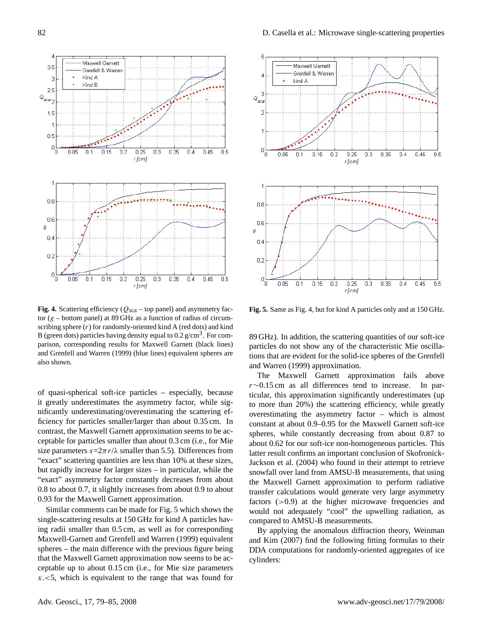

**Fig. 4.** Scattering efficiency ( $Q_{sca}$  – top panel) and asymmetry factor  $(g - bottom panel)$  at 89 GHz as a function of radius of circumscribing sphere  $(r)$  for randomly-oriented kind A (red dots) and kind B (green dots) particles having density equal to  $0.2 \text{ g/cm}^3$ . For comparison, corresponding results for Maxwell Garnett (black lines) and Grenfell and Warren (1999) (blue lines) equivalent spheres are also shown.

of quasi-spherical soft-ice particles – especially, because it greatly underestimates the asymmetry factor, while significantly underestimating/overestimating the scattering efficiency for particles smaller/larger than about 0.35 cm. In contrast, the Maxwell Garnett approximation seems to be acceptable for particles smaller than about 0.3 cm (i.e., for Mie size parameters  $x=2\pi r/\lambda$  smaller than 5.5). Differences from "exact" scattering quantities are less than 10% at these sizes, but rapidly increase for larger sizes – in particular, while the "exact" asymmetry factor constantly decreases from about 0.8 to about 0.7, it slightly increases from about 0.9 to about 0.93 for the Maxwell Garnett approximation.

Similar comments can be made for Fig. 5 which shows the single-scattering results at 150 GHz for kind A particles having radii smaller than 0.5 cm, as well as for corresponding Maxwell-Garnett and Grenfell and Warren (1999) equivalent spheres – the main difference with the previous figure being that the Maxwell Garnett approximation now seems to be acceptable up to about 0.15 cm (i.e., for Mie size parameters  $x \leq 5$ , which is equivalent to the range that was found for



**Fig. 5.** Same as Fig. 4, but for kind A particles only and at 150 GHz.

89 GHz). In addition, the scattering quantities of our soft-ice particles do not show any of the characteristic Mie oscillations that are evident for the solid-ice spheres of the Grenfell and Warren (1999) approximation.

The Maxwell Garnett approximation fails above r∼0.15 cm as all differences tend to increase. In particular, this approximation significantly underestimates (up to more than 20%) the scattering efficiency, while greatly overestimating the asymmetry factor – which is almost constant at about 0.9–0.95 for the Maxwell Garnett soft-ice spheres, while constantly decreasing from about 0.87 to about 0.62 for our soft-ice non-homogeneous particles. This latter result confirms an important conclusion of Skofronick-Jackson et al. (2004) who found in their attempt to retrieve snowfall over land from AMSU-B measurements, that using the Maxwell Garnett approximation to perform radiative transfer calculations would generate very large asymmetry factors  $(>0.9)$  at the higher microwave frequencies and would not adequately "cool" the upwelling radiation, as compared to AMSU-B measurements.

By applying the anomalous diffraction theory, Weinman and Kim (2007) find the following fitting formulas to their DDA computations for randomly-oriented aggregates of ice cylinders: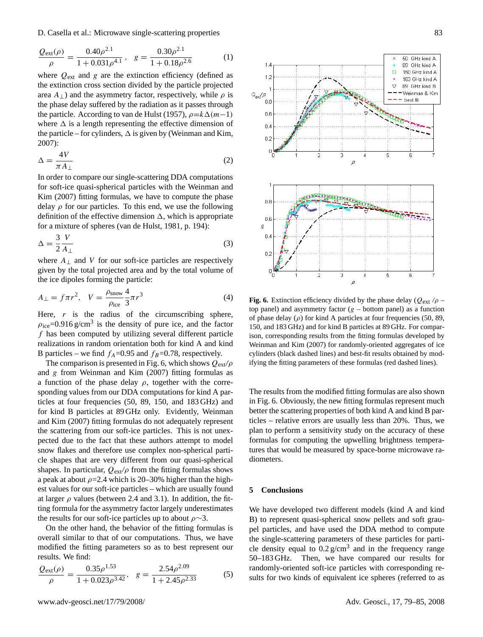D. Casella et al.: Microwave single-scattering properties 83

$$
\frac{Q_{\text{ext}}(\rho)}{\rho} = \frac{0.40\rho^{2.1}}{1 + 0.031\rho^{4.1}}, \quad g = \frac{0.30\rho^{2.1}}{1 + 0.18\rho^{2.6}}
$$
(1)

where  $Q_{ext}$  and g are the extinction efficiency (defined as the extinction cross section divided by the particle projected area  $A_{\perp}$ ) and the asymmetry factor, respectively, while  $\rho$  is the phase delay suffered by the radiation as it passes through the particle. According to van de Hulst (1957),  $\rho = k\Delta(m-1)$ where  $\Delta$  is a length representing the effective dimension of the particle – for cylinders,  $\Delta$  is given by (Weinman and Kim, 2007):

$$
\Delta = \frac{4V}{\pi A_{\perp}}\tag{2}
$$

In order to compare our single-scattering DDA computations for soft-ice quasi-spherical particles with the Weinman and Kim (2007) fitting formulas, we have to compute the phase delay  $\rho$  for our particles. To this end, we use the following definition of the effective dimension  $\Delta$ , which is appropriate for a mixture of spheres (van de Hulst, 1981, p. 194):

$$
\Delta = \frac{3}{2} \frac{V}{A_{\perp}} \tag{3}
$$

where  $A_{\perp}$  and V for our soft-ice particles are respectively given by the total projected area and by the total volume of the ice dipoles forming the particle:

$$
A_{\perp} = f \pi r^2, \quad V = \frac{\rho_{\text{snow}}}{\rho_{\text{ice}}} \frac{4}{3} \pi r^3 \tag{4}
$$

Here,  $r$  is the radius of the circumscribing sphere,  $\rho_{\text{ice}}$ =0.916 g/cm<sup>3</sup> is the density of pure ice, and the factor  $f$  has been computed by utilizing several different particle realizations in random orientation both for kind A and kind B particles – we find  $f_A$ =0.95 and  $f_B$ =0.78, respectively.

The comparison is presented in Fig. 6, which shows Qext*/*ρ and  $g$  from Weinman and Kim (2007) fitting formulas as a function of the phase delay  $\rho$ , together with the corresponding values from our DDA computations for kind A particles at four frequencies (50, 89, 150, and 183 GHz) and for kind B particles at 89 GHz only. Evidently, Weinman and Kim (2007) fitting formulas do not adequately represent the scattering from our soft-ice particles. This is not unexpected due to the fact that these authors attempt to model snow flakes and therefore use complex non-spherical particle shapes that are very different from our quasi-spherical shapes. In particular,  $Q_{\text{ext}}/\rho$  from the fitting formulas shows a peak at about  $\rho = 2.4$  which is 20–30% higher than the highest values for our soft-ice particles – which are usually found at larger  $\rho$  values (between 2.4 and 3.1). In addition, the fitting formula for the asymmetry factor largely underestimates the results for our soft-ice particles up to about  $\rho \sim 3$ .

On the other hand, the behavior of the fitting formulas is overall similar to that of our computations. Thus, we have modified the fitting parameters so as to best represent our results. We find:

$$
\frac{Q_{\text{ext}}(\rho)}{\rho} = \frac{0.35\rho^{1.53}}{1 + 0.023\rho^{3.42}}, \quad g = \frac{2.54\rho^{2.09}}{1 + 2.45\rho^{2.33}} \tag{5}
$$



**Fig. 6.** Extinction efficiency divided by the phase delay  $(Q_{ext}/\rho$ top panel) and asymmetry factor  $(g - bottom panel)$  as a function of phase delay  $(\rho)$  for kind A particles at four frequencies (50, 89, 150, and 183 GHz) and for kind B particles at 89 GHz. For comparison, corresponding results from the fitting formulas developed by Weinman and Kim (2007) for randomly-oriented aggregates of ice cylinders (black dashed lines) and best-fit results obtained by modifying the fitting parameters of these formulas (red dashed lines).

The results from the modified fitting formulas are also shown in Fig. 6. Obviously, the new fitting formulas represent much better the scattering properties of both kind A and kind B particles – relative errors are usually less than 20%. Thus, we plan to perform a sensitivity study on the accuracy of these formulas for computing the upwelling brightness temperatures that would be measured by space-borne microwave radiometers.

#### **5 Conclusions**

We have developed two different models (kind A and kind B) to represent quasi-spherical snow pellets and soft graupel particles, and have used the DDA method to compute the single-scattering parameters of these particles for particle density equal to  $0.2 \text{ g/cm}^3$  and in the frequency range 50–183 GHz. Then, we have compared our results for randomly-oriented soft-ice particles with corresponding results for two kinds of equivalent ice spheres (referred to as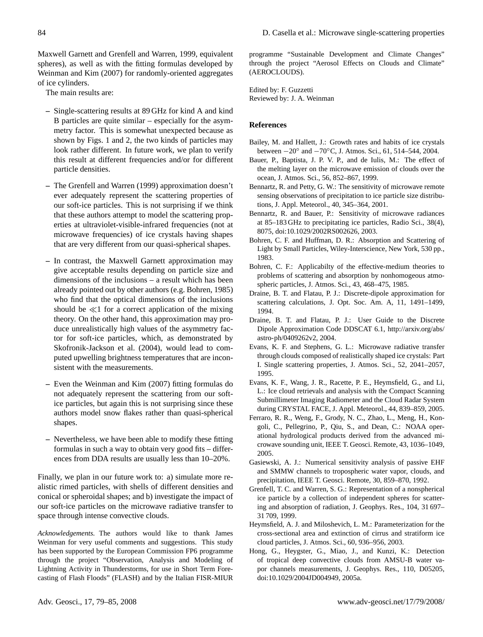Maxwell Garnett and Grenfell and Warren, 1999, equivalent spheres), as well as with the fitting formulas developed by Weinman and Kim (2007) for randomly-oriented aggregates of ice cylinders.

The main results are:

- **–** Single-scattering results at 89 GHz for kind A and kind B particles are quite similar – especially for the asymmetry factor. This is somewhat unexpected because as shown by Figs. 1 and 2, the two kinds of particles may look rather different. In future work, we plan to verify this result at different frequencies and/or for different particle densities.
- **–** The Grenfell and Warren (1999) approximation doesn't ever adequately represent the scattering properties of our soft-ice particles. This is not surprising if we think that these authors attempt to model the scattering properties at ultraviolet-visible-infrared frequencies (not at microwave frequencies) of ice crystals having shapes that are very different from our quasi-spherical shapes.
- **–** In contrast, the Maxwell Garnett approximation may give acceptable results depending on particle size and dimensions of the inclusions – a result which has been already pointed out by other authors (e.g. Bohren, 1985) who find that the optical dimensions of the inclusions should be  $\ll$ 1 for a correct application of the mixing theory. On the other hand, this approximation may produce unrealistically high values of the asymmetry factor for soft-ice particles, which, as demonstrated by Skofronik-Jackson et al. (2004), would lead to computed upwelling brightness temperatures that are inconsistent with the measurements.
- **–** Even the Weinman and Kim (2007) fitting formulas do not adequately represent the scattering from our softice particles, but again this is not surprising since these authors model snow flakes rather than quasi-spherical shapes.
- **–** Nevertheless, we have been able to modify these fitting formulas in such a way to obtain very good fits – differences from DDA results are usually less than 10–20%.

Finally, we plan in our future work to: a) simulate more realistic rimed particles, with shells of different densities and conical or spheroidal shapes; and b) investigate the impact of our soft-ice particles on the microwave radiative transfer to space through intense convective clouds.

*Acknowledgements.* The authors would like to thank James Weinman for very useful comments and suggestions. This study has been supported by the European Commission FP6 programme through the project "Observation, Analysis and Modeling of Lightning Activity in Thunderstorms, for use in Short Term Forecasting of Flash Floods" (FLASH) and by the Italian FISR-MIUR

programme "Sustainable Development and Climate Changes" through the project "Aerosol Effects on Clouds and Climate" (AEROCLOUDS).

Edited by: F. Guzzetti Reviewed by: J. A. Weinman

## **References**

- Bailey, M. and Hallett, J.: Growth rates and habits of ice crystals between −20◦ and −70◦C, J. Atmos. Sci., 61, 514–544, 2004.
- Bauer, P., Baptista, J. P. V. P., and de Iulis, M.: The effect of the melting layer on the microwave emission of clouds over the ocean, J. Atmos. Sci., 56, 852–867, 1999.
- Bennartz, R. and Petty, G. W.: The sensitivity of microwave remote sensing observations of precipitation to ice particle size distributions, J. Appl. Meteorol., 40, 345–364, 2001.
- Bennartz, R. and Bauer, P.: Sensitivity of microwave radiances at 85–183 GHz to precipitating ice particles, Radio Sci., 38(4), 8075, doi:10.1029/2002RS002626, 2003.
- Bohren, C. F. and Huffman, D. R.: Absorption and Scattering of Light by Small Particles, Wiley-Interscience, New York, 530 pp., 1983.
- Bohren, C. F.: Applicabilty of the effective-medium theories to problems of scattering and absorption by nonhomogeous atmospheric particles, J. Atmos. Sci., 43, 468–475, 1985.
- Draine, B. T. and Flatau, P. J.: Discrete-dipole approximation for scattering calculations, J. Opt. Soc. Am. A, 11, 1491–1499, 1994.
- Draine, B. T. and Flatau, P. J.: User Guide to the Discrete Dipole Approximation Code DDSCAT 6.1, [http://arxiv.org/abs/](http://arxiv.org/abs/astro-ph/0409262v2) [astro-ph/0409262v2,](http://arxiv.org/abs/astro-ph/0409262v2) 2004.
- Evans, K. F. and Stephens, G. L.: Microwave radiative transfer through clouds composed of realistically shaped ice crystals: Part I. Single scattering properties, J. Atmos. Sci., 52, 2041–2057, 1995.
- Evans, K. F., Wang, J. R., Racette, P. E., Heymsfield, G., and Li, L.: Ice cloud retrievals and analysis with the Compact Scanning Submillimeter Imaging Radiometer and the Cloud Radar System during CRYSTAL FACE, J. Appl. Meteorol., 44, 839–859, 2005.
- Ferraro, R. R., Weng, F., Grody, N. C., Zhao, L., Meng, H., Kongoli, C., Pellegrino, P., Qiu, S., and Dean, C.: NOAA operational hydrological products derived from the advanced microwave sounding unit, IEEE T. Geosci. Remote, 43, 1036–1049, 2005.
- Gasiewski, A. J.: Numerical sensitivity analysis of passive EHF and SMMW channels to tropospheric water vapor, clouds, and precipitation, IEEE T. Geosci. Remote, 30, 859–870, 1992.
- Grenfell, T. C. and Warren, S. G.: Representation of a nonspherical ice particle by a collection of independent spheres for scattering and absorption of radiation, J. Geophys. Res., 104, 31 697– 31 709, 1999.
- Heymsfield, A. J. and Miloshevich, L. M.: Parameterization for the cross-sectional area and extinction of cirrus and stratiform ice cloud particles, J. Atmos. Sci., 60, 936–956, 2003.
- Hong, G., Heygster, G., Miao, J., and Kunzi, K.: Detection of tropical deep convective clouds from AMSU-B water vapor channels measurements, J. Geophys. Res., 110, D05205, doi:10.1029/2004JD004949, 2005a.